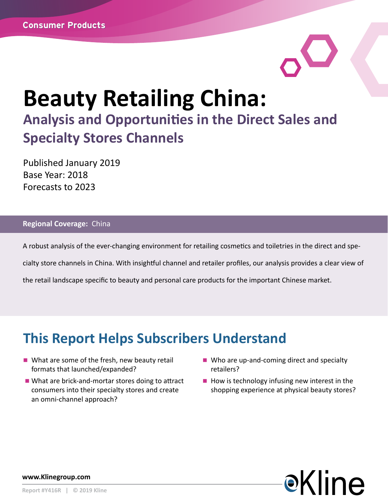# **Beauty Retailing China: Analysis and Opportunities in the Direct Sales and Specialty Stores Channels**

Published January 2019 Base Year: 2018 Forecasts to 2023

#### **Regional Coverage:** China

A robust analysis of the ever-changing environment for retailing cosmetics and toiletries in the direct and spe-

cialty store channels in China. With insightful channel and retailer profiles, our analysis provides a clear view of

the retail landscape specific to beauty and personal care products for the important Chinese market.

## **This Report Helps Subscribers Understand**

- $\blacksquare$  What are some of the fresh, new beauty retail formats that launched/expanded?
- $\blacksquare$  What are brick-and-mortar stores doing to attract consumers into their specialty stores and create an omni-channel approach?
- Who are up-and-coming direct and specialty retailers?
- $\blacksquare$  How is technology infusing new interest in the shopping experience at physical beauty stores?



**www.Klinegroup.com**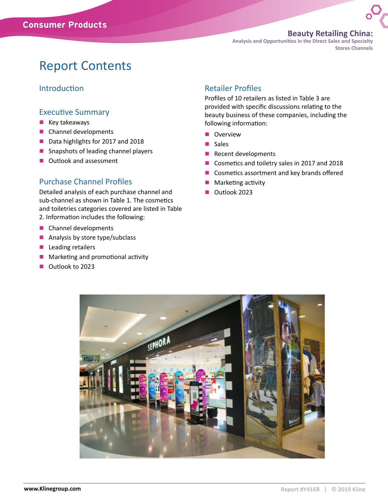#### **Beauty Retailing China:**

**Analysis and Opportunities in the Direct Sales and Specialty Stores Channels** 

### Report Contents

#### Introduction

#### Executive Summary

- $\blacksquare$  Key takeaways
- $\blacksquare$  Channel developments
- Data highlights for 2017 and 2018
- $\blacksquare$  Snapshots of leading channel players
- $\blacksquare$  Outlook and assessment

#### Purchase Channel Profiles

Detailed analysis of each purchase channel and sub-channel as shown in Table 1. The cosmetics and toiletries categories covered are listed in Table 2. Information includes the following:

- $\blacksquare$  Channel developments
- $\blacksquare$  Analysis by store type/subclass
- $\blacksquare$  Leading retailers
- $\blacksquare$  Marketing and promotional activity
- na Outlook to 2023

#### Retailer Profiles

Profiles of 10 retailers as listed in Table 3 are provided with specific discussions relating to the beauty business of these companies, including the following information:

- **n** Overview
- **n** Sales
- $\blacksquare$  Recent developments
- Cosmetics and toiletry sales in 2017 and 2018
- $\blacksquare$  Cosmetics assortment and key brands offered
- Marketing activity
- **n** Outlook 2023

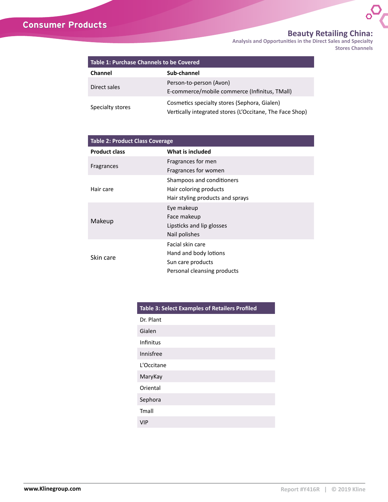### **Consumer Products**

#### **Beauty Retailing China:**

 $\mathcal{O}_\sigma$ 

**Analysis and Opportunities in the Direct Sales and Specialty Stores Channels** 

| <b>Table 1: Purchase Channels to be Covered</b> |                                                                                                          |  |  |  |
|-------------------------------------------------|----------------------------------------------------------------------------------------------------------|--|--|--|
| Channel                                         | Sub-channel                                                                                              |  |  |  |
| Direct sales                                    | Person-to-person (Avon)<br>E-commerce/mobile commerce (Infinitus, TMall)                                 |  |  |  |
| Specialty stores                                | Cosmetics specialty stores (Sephora, Gialen)<br>Vertically integrated stores (L'Occitane, The Face Shop) |  |  |  |

| <b>Table 2: Product Class Coverage</b> |                                  |  |  |  |
|----------------------------------------|----------------------------------|--|--|--|
| <b>Product class</b>                   | What is included                 |  |  |  |
|                                        | Fragrances for men               |  |  |  |
| Fragrances                             | Fragrances for women             |  |  |  |
|                                        | Shampoos and conditioners        |  |  |  |
| Hair care                              | Hair coloring products           |  |  |  |
|                                        | Hair styling products and sprays |  |  |  |
|                                        | Eye makeup                       |  |  |  |
|                                        | Face makeup                      |  |  |  |
| Makeup                                 | Lipsticks and lip glosses        |  |  |  |
|                                        | Nail polishes                    |  |  |  |
|                                        | Facial skin care                 |  |  |  |
| Skin care                              | Hand and body lotions            |  |  |  |
|                                        | Sun care products                |  |  |  |
|                                        | Personal cleansing products      |  |  |  |

| <b>Table 3: Select Examples of Retailers Profiled</b> |  |  |  |  |
|-------------------------------------------------------|--|--|--|--|
| Dr. Plant                                             |  |  |  |  |
| Gialen                                                |  |  |  |  |
| Infinitus                                             |  |  |  |  |
| Innisfree                                             |  |  |  |  |
| L'Occitane                                            |  |  |  |  |
| MaryKay                                               |  |  |  |  |
| Oriental                                              |  |  |  |  |
| Sephora                                               |  |  |  |  |
| Tmall                                                 |  |  |  |  |
| VIP                                                   |  |  |  |  |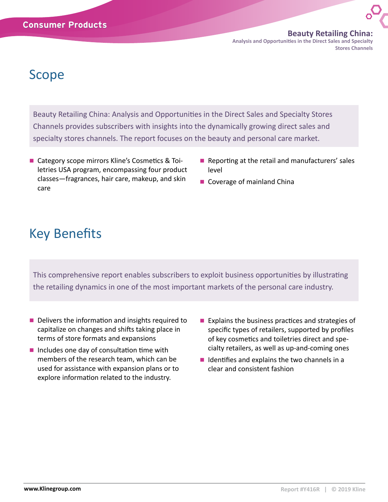**Beauty Retailing China: Analysis and Opportunities in the Direct Sales and Specialty Stores Channels** 

## Scope

Beauty Retailing China: Analysis and Opportunities in the Direct Sales and Specialty Stores Channels provides subscribers with insights into the dynamically growing direct sales and specialty stores channels. The report focuses on the beauty and personal care market.

- Category scope mirrors Kline's Cosmetics & Toiletries USA program, encompassing four product classes—fragrances, hair care, makeup, and skin care
- $\blacksquare$  Reporting at the retail and manufacturers' sales level
- Coverage of mainland China

## Key Benefits

This comprehensive report enables subscribers to exploit business opportunities by illustrating the retailing dynamics in one of the most important markets of the personal care industry.

- Delivers the information and insights required to capitalize on changes and shifts taking place in terms of store formats and expansions
- $\blacksquare$  Includes one day of consultation time with members of the research team, which can be used for assistance with expansion plans or to explore information related to the industry.
- $\blacksquare$  Explains the business practices and strategies of specific types of retailers, supported by profiles of key cosmetics and toiletries direct and specialty retailers, as well as up-and-coming ones
- $\blacksquare$  Identifies and explains the two channels in a clear and consistent fashion